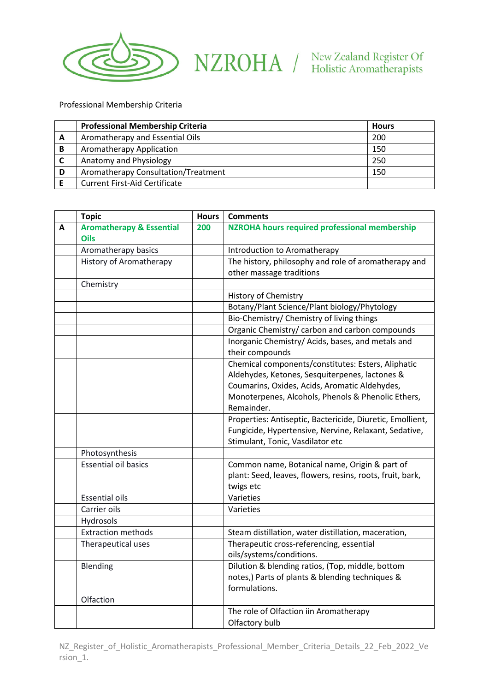

## NZROHA / New Zealand Register Of

Professional Membership Criteria

|   | <b>Professional Membership Criteria</b> | <b>Hours</b> |
|---|-----------------------------------------|--------------|
| A | Aromatherapy and Essential Oils         | 200          |
| B | Aromatherapy Application                | 150          |
|   | Anatomy and Physiology                  | 250          |
| D | Aromatherapy Consultation/Treatment     | 150          |
|   | <b>Current First-Aid Certificate</b>    |              |

|   | <b>Topic</b>                        | <b>Hours</b> | <b>Comments</b>                                           |
|---|-------------------------------------|--------------|-----------------------------------------------------------|
| A | <b>Aromatherapy &amp; Essential</b> | 200          | <b>NZROHA hours required professional membership</b>      |
|   | <b>Oils</b>                         |              |                                                           |
|   | Aromatherapy basics                 |              | Introduction to Aromatherapy                              |
|   | <b>History of Aromatherapy</b>      |              | The history, philosophy and role of aromatherapy and      |
|   |                                     |              | other massage traditions                                  |
|   | Chemistry                           |              |                                                           |
|   |                                     |              | <b>History of Chemistry</b>                               |
|   |                                     |              | Botany/Plant Science/Plant biology/Phytology              |
|   |                                     |              | Bio-Chemistry/ Chemistry of living things                 |
|   |                                     |              | Organic Chemistry/ carbon and carbon compounds            |
|   |                                     |              | Inorganic Chemistry/ Acids, bases, and metals and         |
|   |                                     |              | their compounds                                           |
|   |                                     |              | Chemical components/constitutes: Esters, Aliphatic        |
|   |                                     |              | Aldehydes, Ketones, Sesquiterpenes, lactones &            |
|   |                                     |              | Coumarins, Oxides, Acids, Aromatic Aldehydes,             |
|   |                                     |              | Monoterpenes, Alcohols, Phenols & Phenolic Ethers,        |
|   |                                     |              | Remainder.                                                |
|   |                                     |              | Properties: Antiseptic, Bactericide, Diuretic, Emollient, |
|   |                                     |              | Fungicide, Hypertensive, Nervine, Relaxant, Sedative,     |
|   |                                     |              | Stimulant, Tonic, Vasdilator etc                          |
|   | Photosynthesis                      |              |                                                           |
|   | <b>Essential oil basics</b>         |              | Common name, Botanical name, Origin & part of             |
|   |                                     |              | plant: Seed, leaves, flowers, resins, roots, fruit, bark, |
|   |                                     |              | twigs etc                                                 |
|   | <b>Essential oils</b>               |              | Varieties                                                 |
|   | Carrier oils                        |              | Varieties                                                 |
|   | Hydrosols                           |              |                                                           |
|   | <b>Extraction methods</b>           |              | Steam distillation, water distillation, maceration,       |
|   | Therapeutical uses                  |              | Therapeutic cross-referencing, essential                  |
|   |                                     |              | oils/systems/conditions.                                  |
|   | Blending                            |              | Dilution & blending ratios, (Top, middle, bottom          |
|   |                                     |              | notes,) Parts of plants & blending techniques &           |
|   |                                     |              | formulations.                                             |
|   | Olfaction                           |              |                                                           |
|   |                                     |              | The role of Olfaction iin Aromatherapy                    |
|   |                                     |              | Olfactory bulb                                            |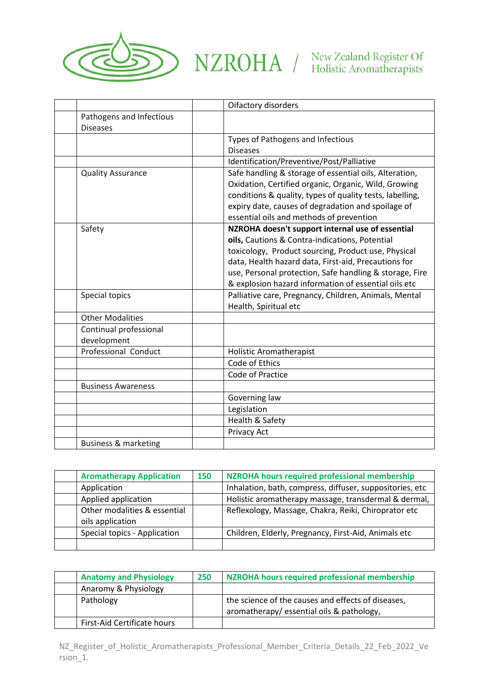

## $\blacktriangleright \ \ \text{NZROMA} \ \ / \ \ \text{New Zealand Register Of}$

|                                 | Oifactory disorders                                      |
|---------------------------------|----------------------------------------------------------|
| Pathogens and Infectious        |                                                          |
| <b>Diseases</b>                 |                                                          |
|                                 | Types of Pathogens and Infectious                        |
|                                 | <b>Diseases</b>                                          |
|                                 | Identification/Preventive/Post/Palliative                |
| <b>Quality Assurance</b>        | Safe handling & storage of essential oils, Alteration,   |
|                                 | Oxidation, Certified organic, Organic, Wild, Growing     |
|                                 | conditions & quality, types of quality tests, labelling, |
|                                 | expiry date, causes of degradation and spoilage of       |
|                                 | essential oils and methods of prevention                 |
| Safety                          | NZROHA doesn't support internal use of essential         |
|                                 | oils, Cautions & Contra-indications, Potential           |
|                                 | toxicology, Product sourcing, Product use, Physical      |
|                                 | data, Health hazard data, First-aid, Precautions for     |
|                                 | use, Personal protection, Safe handling & storage, Fire  |
|                                 | & explosion hazard information of essential oils etc     |
| Special topics                  | Palliative care, Pregnancy, Children, Animals, Mental    |
|                                 | Health, Spiritual etc                                    |
| <b>Other Modalities</b>         |                                                          |
| Continual professional          |                                                          |
| development                     |                                                          |
| Professional Conduct            | <b>Holistic Aromatherapist</b>                           |
|                                 | Code of Ethics                                           |
|                                 | Code of Practice                                         |
| <b>Business Awareness</b>       |                                                          |
|                                 | Governing law                                            |
|                                 | Legislation                                              |
|                                 | Health & Safety                                          |
|                                 | Privacy Act                                              |
| <b>Business &amp; marketing</b> |                                                          |

| <b>Aromatherapy Application</b>                  | 150 | NZROHA hours required professional membership            |
|--------------------------------------------------|-----|----------------------------------------------------------|
| Application                                      |     | Inhalation, bath, compress, diffuser, suppositories, etc |
| Applied application                              |     | Holistic aromatherapy massage, transdermal & dermal,     |
| Other modalities & essential<br>oils application |     | Reflexology, Massage, Chakra, Reiki, Chiroprator etc     |
| Special topics - Application                     |     | Children, Elderly, Pregnancy, First-Aid, Animals etc     |
|                                                  |     |                                                          |

| <b>Anatomy and Physiology</b> | 250 | NZROHA hours required professional membership                                                  |
|-------------------------------|-----|------------------------------------------------------------------------------------------------|
| Anaromy & Physiology          |     |                                                                                                |
| Pathology                     |     | the science of the causes and effects of diseases,<br>aromatherapy/essential oils & pathology, |
| First-Aid Certificate hours   |     |                                                                                                |

NZ\_Register\_of\_Holistic\_Aromatherapists\_Professional\_Member\_Criteria\_Details\_22\_Feb\_2022\_Ve rsion\_1.